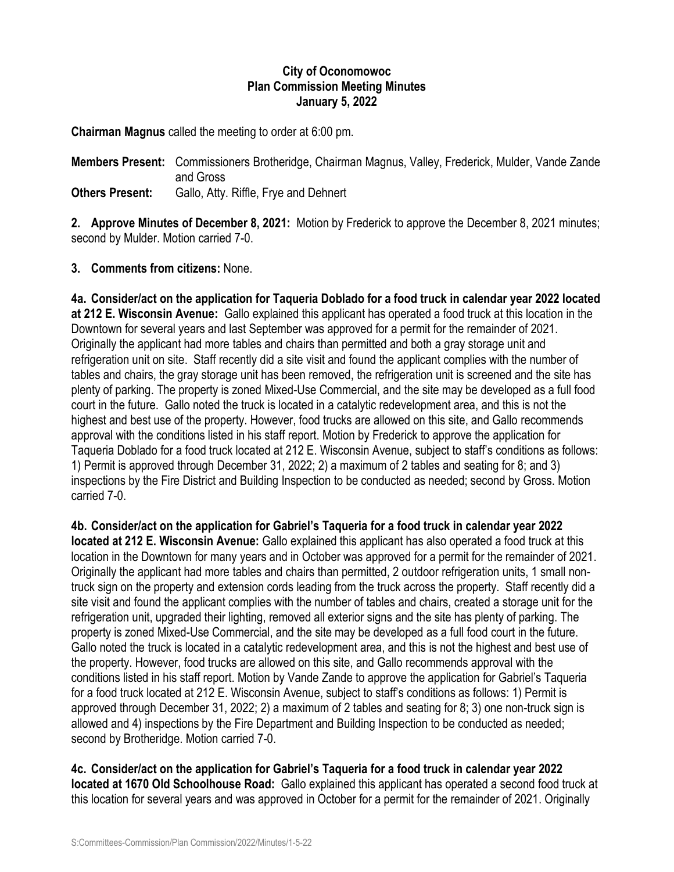## **City of Oconomowoc Plan Commission Meeting Minutes January 5, 2022**

**Chairman Magnus** called the meeting to order at 6:00 pm.

**Members Present:** Commissioners Brotheridge, Chairman Magnus, Valley, Frederick, Mulder, Vande Zande and Gross **Others Present:** Gallo, Atty. Riffle, Frye and Dehnert

**2. Approve Minutes of December 8, 2021:** Motion by Frederick to approve the December 8, 2021 minutes; second by Mulder. Motion carried 7-0.

**3. Comments from citizens:** None.

**4a. Consider/act on the application for Taqueria Doblado for a food truck in calendar year 2022 located at 212 E. Wisconsin Avenue:** Gallo explained this applicant has operated a food truck at this location in the Downtown for several years and last September was approved for a permit for the remainder of 2021. Originally the applicant had more tables and chairs than permitted and both a gray storage unit and refrigeration unit on site. Staff recently did a site visit and found the applicant complies with the number of tables and chairs, the gray storage unit has been removed, the refrigeration unit is screened and the site has plenty of parking. The property is zoned Mixed-Use Commercial, and the site may be developed as a full food court in the future. Gallo noted the truck is located in a catalytic redevelopment area, and this is not the highest and best use of the property. However, food trucks are allowed on this site, and Gallo recommends approval with the conditions listed in his staff report. Motion by Frederick to approve the application for Taqueria Doblado for a food truck located at 212 E. Wisconsin Avenue, subject to staff's conditions as follows: 1) Permit is approved through December 31, 2022; 2) a maximum of 2 tables and seating for 8; and 3) inspections by the Fire District and Building Inspection to be conducted as needed; second by Gross. Motion carried 7-0.

**4b. Consider/act on the application for Gabriel's Taqueria for a food truck in calendar year 2022 located at 212 E. Wisconsin Avenue:** Gallo explained this applicant has also operated a food truck at this location in the Downtown for many years and in October was approved for a permit for the remainder of 2021. Originally the applicant had more tables and chairs than permitted, 2 outdoor refrigeration units, 1 small nontruck sign on the property and extension cords leading from the truck across the property. Staff recently did a site visit and found the applicant complies with the number of tables and chairs, created a storage unit for the refrigeration unit, upgraded their lighting, removed all exterior signs and the site has plenty of parking. The property is zoned Mixed-Use Commercial, and the site may be developed as a full food court in the future. Gallo noted the truck is located in a catalytic redevelopment area, and this is not the highest and best use of the property. However, food trucks are allowed on this site, and Gallo recommends approval with the conditions listed in his staff report. Motion by Vande Zande to approve the application for Gabriel's Taqueria for a food truck located at 212 E. Wisconsin Avenue, subject to staff's conditions as follows: 1) Permit is approved through December 31, 2022; 2) a maximum of 2 tables and seating for 8; 3) one non-truck sign is allowed and 4) inspections by the Fire Department and Building Inspection to be conducted as needed; second by Brotheridge. Motion carried 7-0.

**4c. Consider/act on the application for Gabriel's Taqueria for a food truck in calendar year 2022 located at 1670 Old Schoolhouse Road:** Gallo explained this applicant has operated a second food truck at this location for several years and was approved in October for a permit for the remainder of 2021. Originally